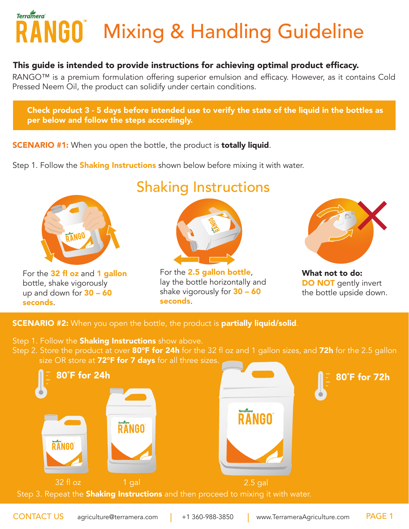## RANGO Mixing & Handling Guideline **Terramera**

#### This guide is intended to provide instructions for achieving optimal product efficacy.

RANGO™ is a premium formulation offering superior emulsion and efficacy. However, as it contains Cold Pressed Neem Oil, the product can solidify under certain conditions.

Check product 3 - 5 days before intended use to verify the state of the liquid in the bottles as per below and follow the steps accordingly.

- **SCENARIO #1:** When you open the bottle, the product is **totally liquid**.
- Step 1. Follow the **Shaking Instructions** shown below before mixing it with water.



For the 32 fl oz and 1 gallon bottle, shake vigorously up and down for  $30 - 60$ seconds.

### Shaking Instructions



For the 2.5 gallon bottle, lay the bottle horizontally and shake vigorously for  $30 - 60$ seconds.



What not to do: DO NOT gently invert the bottle upside down.

#### **SCENARIO #2:** When you open the bottle, the product is partially liquid/solid.

- Step 1. Follow the **Shaking Instructions** show above.
- Step 2. Store the product at over 80°F for 24h for the 32 fl oz and 1 gallon sizes, and 72h for the 2.5 gallon size OR store at 72°F for 7 days for all three sizes.